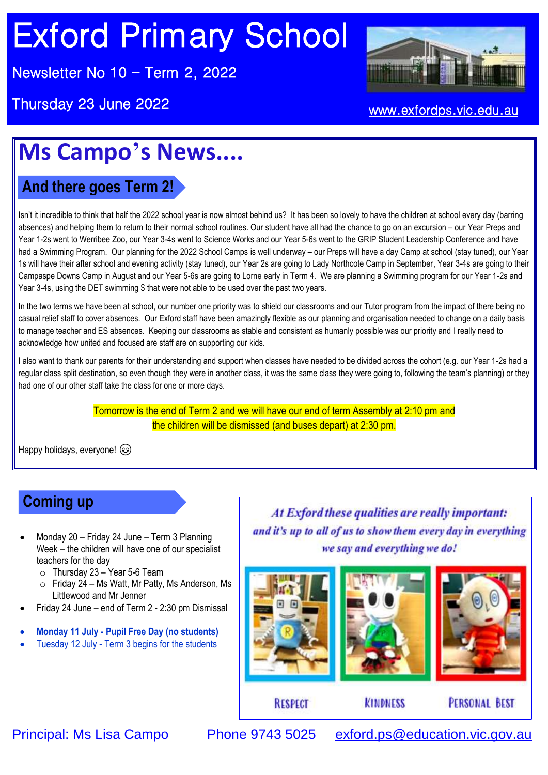# Exford Primary School

Newsletter No  $10 -$  Term 2, 2022

Thursday 23 June 2022



[www.exfordps.vic.edu.au](http://www.exfordps.vic.edu.au/)

# **Ms Campo's News....**

## **And there goes Term 2!**

Isn't it incredible to think that half the 2022 school year is now almost behind us? It has been so lovely to have the children at school every day (barring absences) and helping them to return to their normal school routines. Our student have all had the chance to go on an excursion – our Year Preps and Year 1-2s went to Werribee Zoo, our Year 3-4s went to Science Works and our Year 5-6s went to the GRIP Student Leadership Conference and have had a Swimming Program. Our planning for the 2022 School Camps is well underway – our Preps will have a day Camp at school (stay tuned), our Year 1s will have their after school and evening activity (stay tuned), our Year 2s are going to Lady Northcote Camp in September, Year 3-4s are going to their Campaspe Downs Camp in August and our Year 5-6s are going to Lorne early in Term 4. We are planning a Swimming program for our Year 1-2s and Year 3-4s, using the DET swimming \$ that were not able to be used over the past two years.

In the two terms we have been at school, our number one priority was to shield our classrooms and our Tutor program from the impact of there being no casual relief staff to cover absences. Our Exford staff have been amazingly flexible as our planning and organisation needed to change on a daily basis to manage teacher and ES absences. Keeping our classrooms as stable and consistent as humanly possible was our priority and I really need to acknowledge how united and focused are staff are on supporting our kids.

I also want to thank our parents for their understanding and support when classes have needed to be divided across the cohort (e.g. our Year 1-2s had a regular class split destination, so even though they were in another class, it was the same class they were going to, following the team's planning) or they had one of our other staff take the class for one or more days.

> Tomorrow is the end of Term 2 and we will have our end of term Assembly at 2:10 pm and the children will be dismissed (and buses depart) at 2:30 pm.

Happy holidays, everyone!  $\circled{e}$ 

## **Coming up**

- Monday 20 Friday 24 June Term 3 Planning Week – the children will have one of our specialist teachers for the day
	- $\circ$  Thursday 23 Year 5-6 Team
	- $\circ$  Friday 24 Ms Watt, Mr Patty, Ms Anderson, Ms Littlewood and Mr Jenner
- Friday 24 June end of Term 2 2:30 pm Dismissal
- **Monday 11 July - Pupil Free Day (no students)**
- Tuesday 12 July Term 3 begins for the students

At Exford these qualities are really important: and it's up to all of us to show them every day in everything we say and everything we do!







**RESPECT** 

**KINDNESS** 

PERSONAL BEST

Principal: Ms Lisa Campo Phone 9743 5025 [exford.ps@education.vic.gov.au](mailto:exford.ps@education.vic.gov.au)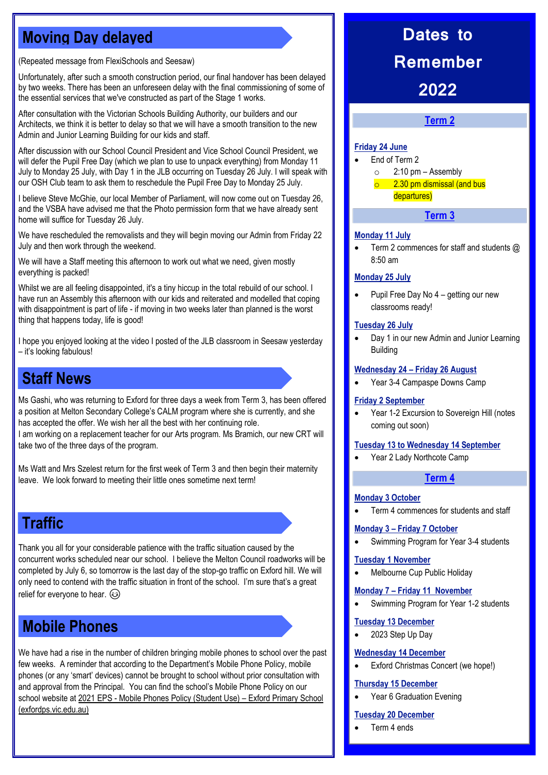## **Moving Day delayed**

(Repeated message from FlexiSchools and Seesaw)

Unfortunately, after such a smooth construction period, our final handover has been delayed by two weeks. There has been an unforeseen delay with the final commissioning of some of the essential services that we've constructed as part of the Stage 1 works.

After consultation with the Victorian Schools Building Authority, our builders and our Architects, we think it is better to delay so that we will have a smooth transition to the new Admin and Junior Learning Building for our kids and staff.

After discussion with our School Council President and Vice School Council President, we will defer the Pupil Free Day (which we plan to use to unpack everything) from Monday 11 July to Monday 25 July, with Day 1 in the JLB occurring on Tuesday 26 July. I will speak with our OSH Club team to ask them to reschedule the Pupil Free Day to Monday 25 July.

I believe Steve McGhie, our local Member of Parliament, will now come out on Tuesday 26, and the VSBA have advised me that the Photo permission form that we have already sent home will suffice for Tuesday 26 July.

We have rescheduled the removalists and they will begin moving our Admin from Friday 22 July and then work through the weekend.

We will have a Staff meeting this afternoon to work out what we need, given mostly everything is packed!

Whilst we are all feeling disappointed, it's a tiny hiccup in the total rebuild of our school. I have run an Assembly this afternoon with our kids and reiterated and modelled that coping with disappointment is part of life - if moving in two weeks later than planned is the worst thing that happens today, life is good!

I hope you enjoyed looking at the video I posted of the JLB classroom in Seesaw yesterday – it's looking fabulous!

### **Staff News**

Ms Gashi, who was returning to Exford for three days a week from Term 3, has been offered a position at Melton Secondary College's CALM program where she is currently, and she has accepted the offer. We wish her all the best with her continuing role. I am working on a replacement teacher for our Arts program. Ms Bramich, our new CRT will take two of the three days of the program.

Ms Watt and Mrs Szelest return for the first week of Term 3 and then begin their maternity leave. We look forward to meeting their little ones sometime next term!

## **Traffic**

Thank you all for your considerable patience with the traffic situation caused by the concurrent works scheduled near our school. I believe the Melton Council roadworks will be completed by July 6, so tomorrow is the last day of the stop-go traffic on Exford hill. We will only need to contend with the traffic situation in front of the school. I'm sure that's a great relief for everyone to hear.  $\odot$ 

## **Mobile Phones**

We have had a rise in the number of children bringing mobile phones to school over the past few weeks. A reminder that according to the Department's Mobile Phone Policy, mobile phones (or any 'smart' devices) cannot be brought to school without prior consultation with and approval from the Principal. You can find the school's Mobile Phone Policy on our school website at 2021 EPS - [Mobile Phones Policy \(Student Use\)](http://www.exfordps.vic.edu.au/about-our-school/policies/2019-eps-mobile-phones-policy) – Exford Primary School [\(exfordps.vic.edu.au\)](http://www.exfordps.vic.edu.au/about-our-school/policies/2019-eps-mobile-phones-policy)

# **Dates to Remember 2022**

**Term 2**

#### **Friday 24 June**

- End of Term 2
	- $\circ$  2:10 pm Assembly
		- o 2.30 pm dismissal (and bus
			- departures)

#### **Term 3**

#### **Monday 11 July**

Term 2 commences for staff and students @ 8:50 am

#### **Monday 25 July**

• Pupil Free Day No 4 – getting our new classrooms ready!

#### **Tuesday 26 July**

• Day 1 in our new Admin and Junior Learning Building

#### **Wednesday 24 – Friday 26 August**

• Year 3-4 Campaspe Downs Camp

#### **Friday 2 September**

• Year 1-2 Excursion to Sovereign Hill (notes coming out soon)

#### **Tuesday 13 to Wednesday 14 September**

Year 2 Lady Northcote Camp

#### **Term 4**

#### **Monday 3 October**

• Term 4 commences for students and staff

#### **Monday 3 – Friday 7 October**

• Swimming Program for Year 3-4 students

#### **Tuesday 1 November**

• Melbourne Cup Public Holiday

#### **Monday 7 – Friday 11 November**

• Swimming Program for Year 1-2 students

#### **Tuesday 13 December**

• 2023 Step Up Day

#### **Wednesday 14 December**

• Exford Christmas Concert (we hope!)

#### **Thursday 15 December**

• Year 6 Graduation Evening

#### **Tuesday 20 December**

Term 4 ends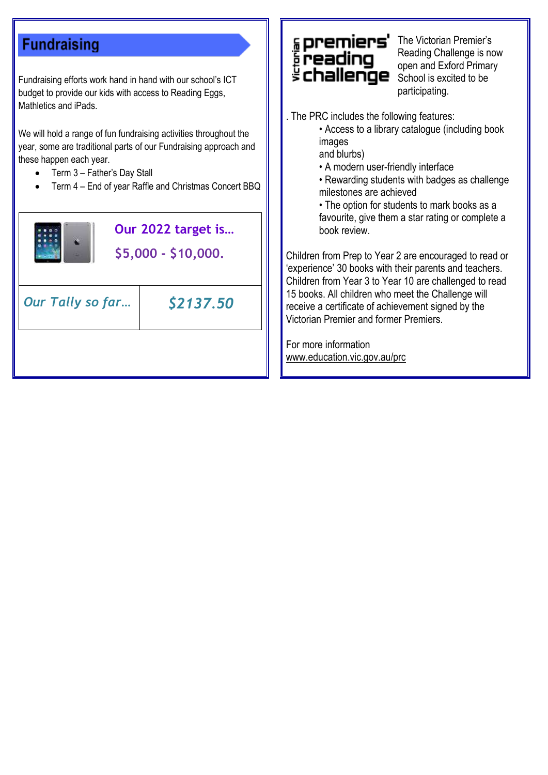## **Fundraising**

Fundraising efforts work hand in hand with our school's ICT budget to provide our kids with access to Reading Eggs, Mathletics and iPads.

We will hold a range of fun fundraising activities throughout the year, some are traditional parts of our Fundraising approach and these happen each year.

- Term 3 Father's Day Stall
- Term 4 End of year Raffle and Christmas Concert BBQ

| Our 2022 target is<br>\$5,000 - \$10,000. |           |  |  |  |  |
|-------------------------------------------|-----------|--|--|--|--|
| <b>Our Tally so far</b>                   | \$2137.50 |  |  |  |  |
|                                           |           |  |  |  |  |

# s premiers'<br>s reading **School is excited to be**

The Victorian Premier's Reading Challenge is now open and Exford Primary participating.

. The PRC includes the following features:

• Access to a library catalogue (including book images

and blurbs)

• A modern user-friendly interface

• Rewarding students with badges as challenge milestones are achieved

• The option for students to mark books as a favourite, give them a star rating or complete a book review.

Children from Prep to Year 2 are encouraged to read or 'experience' 30 books with their parents and teachers. Children from Year 3 to Year 10 are challenged to read 15 books. All children who meet the Challenge will receive a certificate of achievement signed by the Victorian Premier and former Premiers.

For more information [www.education.vic.gov.au/prc](http://www.education.vic.gov.au/prc)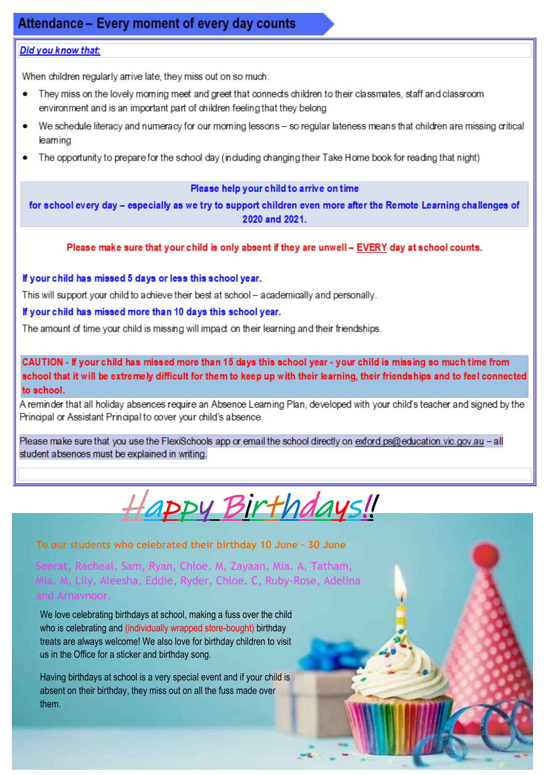#### Attendance - Every moment of every day counts

#### Did you know that:

When children regularly arrive late, they miss out on so much:

- They miss on the lovely morning meet and greet that connects children to their classmates, staff and classroom environment and is an important part of children feeling that they belong
- We schedule literacy and numeracy for our morning lessons so regular lateness means that children are missing critical learning
- The opportunity to prepare for the school day (including changing their Take Home book for reading that night)

#### Please help your child to arrive on time

for school every day - especially as we try to support children even more after the Remote Learning challenges of 2020 and 2021.

Please make sure that your child is only absent if they are unwell - EVERY day at school counts.

If your child has missed 5 days or less this school year.

This will support your child to achieve their best at school – academically and personally.

If your child has missed more than 10 days this school year.

The amount of time your child is missing will impact on their learning and their friendships.

CAUTION - If your child has missed more than 15 days this school year - your child is missing so much time from school that it will be extremely difficult for them to keep up with their learning, their friendships and to feel connected to school.

A reminder that all holiday absences require an Absence Learning Plan, developed with your child's teacher and signed by the Principal or Assistant Principal to cover your child's absence.

Please make sure that you use the FlexiSchools app or email the school directly on exford ps@education vic.gov.au - all student absences must be explained in writing.



To our students who celebrated their birthday 10 June - 30 June

Seerat, Racheal, Sam, Ryan, Chloe. M, Zayaan, Mia. A, Tatham, Mia. M, Lily, Aleesha, Eddie, Ryder, Chloe. C, Ruby-Rose, Adelina and Arnavnoor.

We love celebrating birthdays at school, making a fuss over the child who is celebrating and (individually wrapped store-bought) birthday treats are always welcome! We also love for birthday children to visit us in the Office for a sticker and birthday song.

Having birthdays at school is a very special event and if your child is absent on their birthday, they miss out on all the fuss made over them.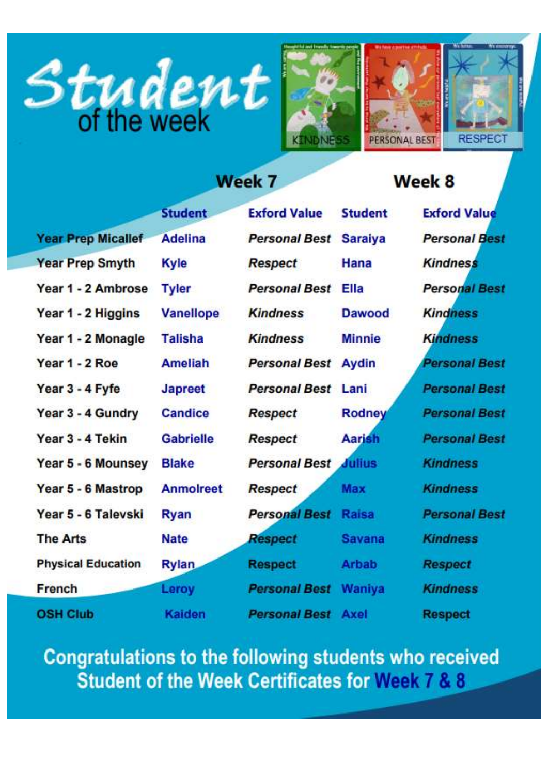







|                           | week 7           |                           | week 8         |                      |
|---------------------------|------------------|---------------------------|----------------|----------------------|
|                           | <b>Student</b>   | <b>Exford Value</b>       | <b>Student</b> | <b>Exford Value</b>  |
| <b>Year Prep Micallef</b> | <b>Adelina</b>   | <b>Personal Best</b>      | <b>Saraiya</b> | <b>Personal Best</b> |
| <b>Year Prep Smyth</b>    | Kyle             | <b>Respect</b>            | Hana           | <b>Kindness</b>      |
| Year 1 - 2 Ambrose        | <b>Tyler</b>     | <b>Personal Best</b>      | Ella           | <b>Personal Best</b> |
| Year 1 - 2 Higgins        | <b>Vanellope</b> | <b>Kindness</b>           | <b>Dawood</b>  | <b>Kindness</b>      |
| Year 1 - 2 Monagle        | <b>Talisha</b>   | <b>Kindness</b>           | <b>Minnie</b>  | <b>Kindness</b>      |
| Year 1 - 2 Roe            | <b>Ameliah</b>   | <b>Personal Best</b>      | <b>Aydin</b>   | <b>Personal Best</b> |
| Year 3 - 4 Fyfe           | <b>Japreet</b>   | <b>Personal Best Lani</b> |                | <b>Personal Best</b> |
| Year 3 - 4 Gundry         | <b>Candice</b>   | Respect                   | <b>Rodney</b>  | <b>Personal Best</b> |
| Year 3 - 4 Tekin          | <b>Gabrielle</b> | <b>Respect</b>            | Aarish         | <b>Personal Best</b> |
| Year 5 - 6 Mounsey        | <b>Blake</b>     | <b>Personal Best</b>      | Julius         | <b>Kindness</b>      |
| Year 5 - 6 Mastrop        | <b>Anmolreet</b> | <b>Respect</b>            | <b>Max</b>     | <b>Kindness</b>      |
| Year 5 - 6 Talevski       | Ryan             | <b>Personal Best</b>      | <b>Raisa</b>   | <b>Personal Best</b> |
| <b>The Arts</b>           | <b>Nate</b>      | <b>Respect</b>            | <b>Savana</b>  | <b>Kindness</b>      |
| <b>Physical Education</b> | <b>Rylan</b>     | <b>Respect</b>            | <b>Arbab</b>   | <b>Respect</b>       |
| <b>French</b>             | Leroy            | <b>Personal Best</b>      | Waniya         | <b>Kindness</b>      |
| <b>OSH Club</b>           | Kaiden           | <b>Personal Best</b>      | Axel           | <b>Respect</b>       |

Congratulations to the following students who received **Student of the Week Certificates for Week 7 & 8**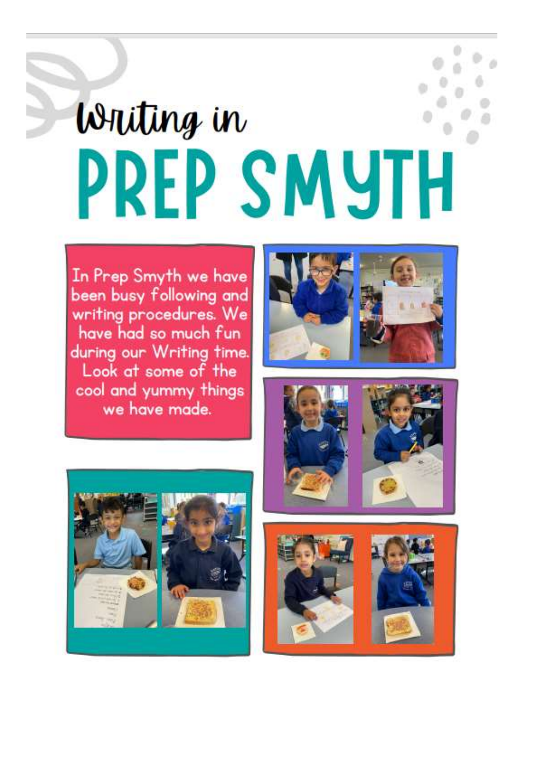# Writing in PREP SMYTH

In Prep Smyth we have been busy following and writing procedures. We have had so much fun during our Writing time. Look at some of the cool and yummy things we have made.





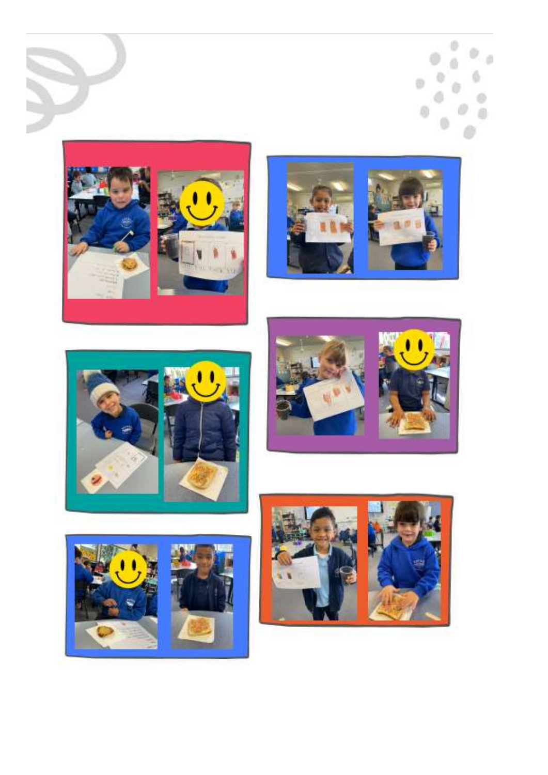











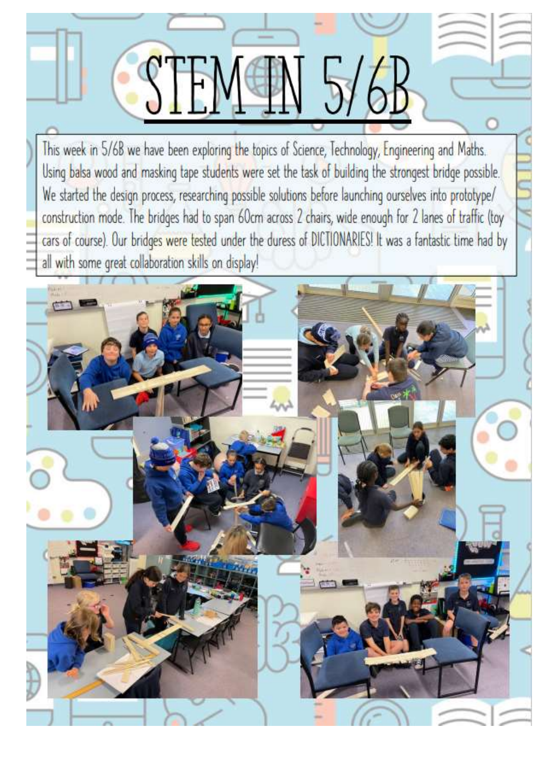This week in 5/6B we have been exploring the topics of Science, Technology, Engineering and Maths. Using balsa wood and masking tape students were set the task of building the strongest bridge possible. We started the design process, researching possible solutions before launching ourselves into prototype/ construction mode. The bridges had to span 60cm across 2 chairs, wide enough for 2 lanes of traffic (toy cars of course). Our bridges were tested under the duress of DICTIONARIES! It was a fantastic time had by all with some great collaboration skills on display!

 $\sqrt{31}$ 

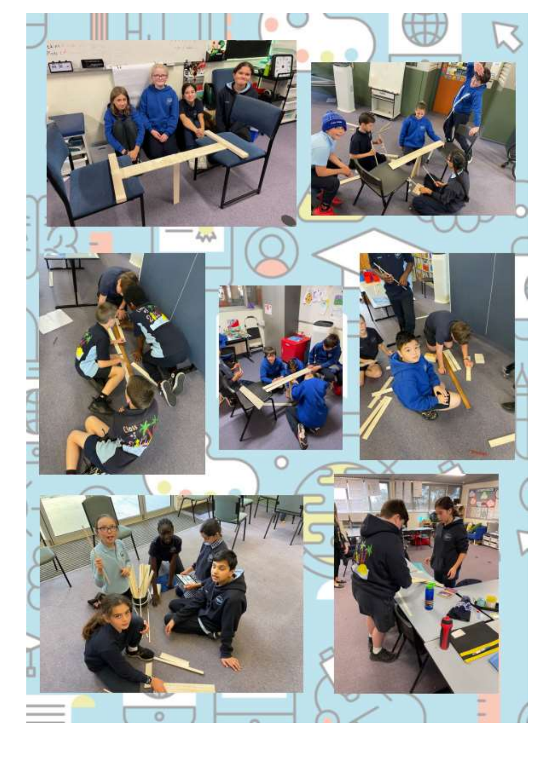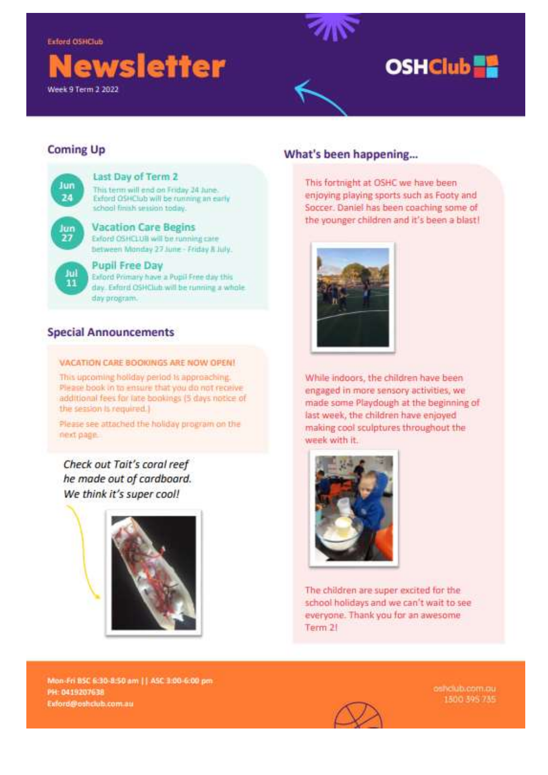**Exford OSHClub lewsletter** Week 9 Term 2 2022



# **OSHClub**

#### **Coming Up**

Jun 24 Jun<br>27 Jul  $11$ 

#### Last Day of Term 2

This term will end on Friday 24 June. Exford OSHClub will be running an early school finish session today.

#### **Vacation Care Begins**

Exford OSHCLUB will be running care between Monday 27 June - Friday & July.

#### **Pupil Free Day**

Exford Primary have a Pupil Free day this day. Exford OSHClub will be running a whole. day program.

#### **Special Announcements**

#### VACATION CARE BOOKINGS ARE NOW OPEN!

This upcoming holiday period is approaching. Please book in to ensure that you do not receive additional fees for late bookings (5 days notice of the session is required.)

Please see attached the holiday program on the next page

#### Check out Tait's coral reef he made out of cardboard. We think it's super cool!



#### What's been happening...

This fortnight at OSHC we have been enjoying playing sports such as Footy and Soccer. Daniel has been coaching some of the younger children and it's been a blast!



While indoors, the children have been engaged in more sensory activities, we made some Playdough at the beginning of last week, the children have enjoyed making cool sculptures throughout the week with it.



The children are super excited for the school holidays and we can't wait to see everyone. Thank you for an awesome Term 21

Mon-Fri BSC 6:30-8:50 am | | ASC 3:00-6:00 pm PH: 0419207638 Exford@oshclub.com.au

ostyclub.com.ou 1500 395 735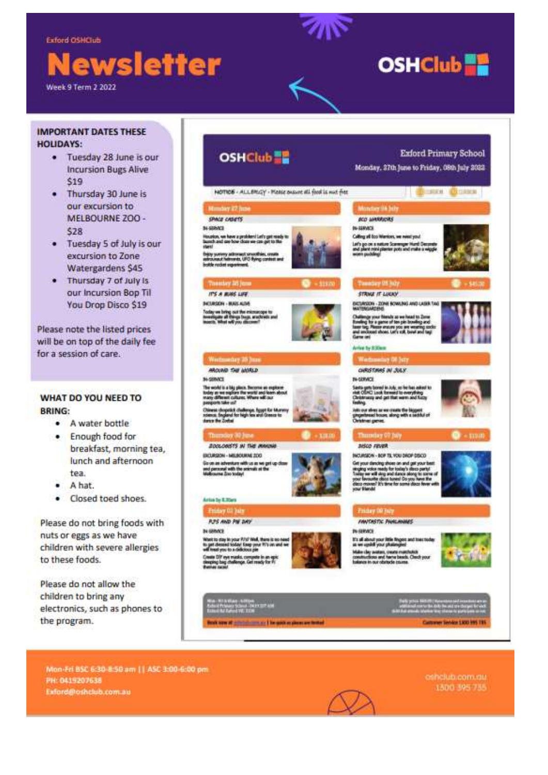# **Exford OSHClub Newsletter**



# **OSHClub**

#### **IMPORTANT DATES THESE** HOUDAYS:

- · Tuesday 28 June is our **Incursion Bugs Alive** \$19
- Thursday 30 June is our excursion to MELBOURNE ZOO-\$28
- · Tuesday 5 of July is our excursion to Zone **Watergardens \$45**
- . Thursday 7 of July Is our Incursion Bop Til You Drop Disco \$19

Please note the listed prices will be on top of the daily fee for a session of care.

WHAT DO YOU NEED TO **BRING:** 

- · A water bottle
- · Enough food for breakfast, morning tea, lunch and afternoon tea.
- A hat.
- Closed toed shoes.

Please do not bring foods with nuts or eggs as we have children with severe allergies to these foods.

Please do not allow the children to bring any electronics, such as phones to the program.



Mon-Fri BSC 6:30-8:50 am | | ASC 3:00-6:00 pm PH: 0419207638 Exford@oshclub.com.au

eshelub.com.gu. 1300 395 735